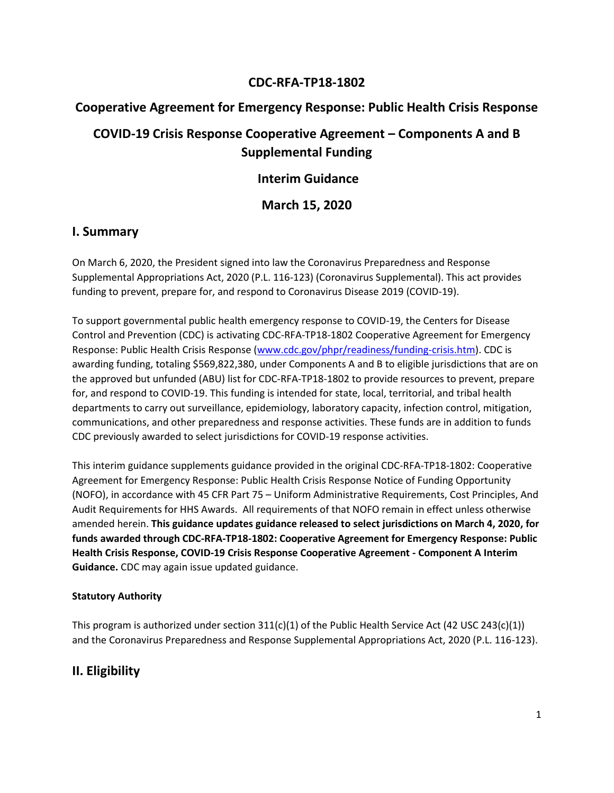## **CDC-RFA-TP18-1802**

# **Cooperative Agreement for Emergency Response: Public Health Crisis Response**

# **COVID-19 Crisis Response Cooperative Agreement – Components A and B Supplemental Funding**

## **Interim Guidance**

**March 15, 2020**

### **I. Summary**

On March 6, 2020, the President signed into law the Coronavirus Preparedness and Response Supplemental Appropriations Act, 2020 (P.L. 116-123) (Coronavirus Supplemental). This act provides funding to prevent, prepare for, and respond to Coronavirus Disease 2019 (COVID-19).

To support governmental public health emergency response to COVID-19, the Centers for Disease Control and Prevention (CDC) is activating CDC-RFA-TP18-1802 Cooperative Agreement for Emergency Response: Public Health Crisis Response [\(www.cdc.gov/phpr/readiness/funding-crisis.htm\). CD](http://www.cdc.gov/phpr/readiness/funding-crisis.htm)C is awarding funding, totaling \$569,822,380, under Components A and B to eligible jurisdictions that are on the approved but unfunded (ABU) list for CDC-RFA-TP18-1802 to provide resources to prevent, prepare for, and respond to COVID-19. This funding is intended for state, local, territorial, and tribal health departments to carry out surveillance, epidemiology, laboratory capacity, infection control, mitigation, communications, and other preparedness and response activities. These funds are in addition to funds CDC previously awarded to select jurisdictions for COVID-19 response activities.

This interim guidance supplements guidance provided in the original CDC-RFA-TP18-1802: Cooperative Agreement for Emergency Response: Public Health Crisis Response Notice of Funding Opportunity (NOFO), in accordance with 45 CFR Part 75 – Uniform Administrative Requirements, Cost Principles, And Audit Requirements for HHS Awards. All requirements of that NOFO remain in effect unless otherwise amended herein. **This guidance updates guidance released to select jurisdictions on March 4, 2020, for funds awarded through CDC-RFA-TP18-1802: Cooperative Agreement for Emergency Response: Public Health Crisis Response, COVID-19 Crisis Response Cooperative Agreement - Component A Interim Guidance.** CDC may again issue updated guidance.

### **Statutory Authority**

This program is authorized under section  $311(c)(1)$  of the Public Health Service Act (42 USC 243(c)(1)) and the Coronavirus Preparedness and Response Supplemental Appropriations Act, 2020 (P.L. 116-123).

# **II. Eligibility**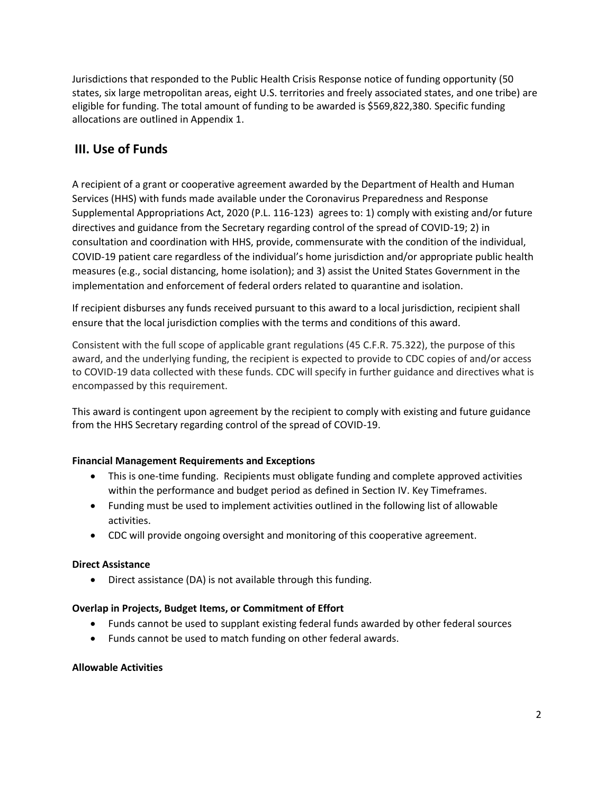Jurisdictions that responded to the Public Health Crisis Response notice of funding opportunity (50 states, six large metropolitan areas, eight U.S. territories and freely associated states, and one tribe) are eligible for funding. The total amount of funding to be awarded is \$569,822,380. Specific funding allocations are outlined in Appendix 1.

# **III. Use of Funds**

A recipient of a grant or cooperative agreement awarded by the Department of Health and Human Services (HHS) with funds made available under the Coronavirus Preparedness and Response Supplemental Appropriations Act, 2020 (P.L. 116-123) agrees to: 1) comply with existing and/or future directives and guidance from the Secretary regarding control of the spread of COVID-19; 2) in consultation and coordination with HHS, provide, commensurate with the condition of the individual, COVID-19 patient care regardless of the individual's home jurisdiction and/or appropriate public health measures (e.g., social distancing, home isolation); and 3) assist the United States Government in the implementation and enforcement of federal orders related to quarantine and isolation.

If recipient disburses any funds received pursuant to this award to a local jurisdiction, recipient shall ensure that the local jurisdiction complies with the terms and conditions of this award.

Consistent with the full scope of applicable grant regulations (45 C.F.R. 75.322), the purpose of this award, and the underlying funding, the recipient is expected to provide to CDC copies of and/or access to COVID-19 data collected with these funds. CDC will specify in further guidance and directives what is encompassed by this requirement.

This award is contingent upon agreement by the recipient to comply with existing and future guidance from the HHS Secretary regarding control of the spread of COVID-19.

### **Financial Management Requirements and Exceptions**

- This is one-time funding. Recipients must obligate funding and complete approved activities within the performance and budget period as defined in Section IV. Key Timeframes.
- Funding must be used to implement activities outlined in the following list of allowable activities.
- CDC will provide ongoing oversight and monitoring of this cooperative agreement.

#### **Direct Assistance**

• Direct assistance (DA) is not available through this funding.

#### **Overlap in Projects, Budget Items, or Commitment of Effort**

- Funds cannot be used to supplant existing federal funds awarded by other federal sources
- Funds cannot be used to match funding on other federal awards.

#### **Allowable Activities**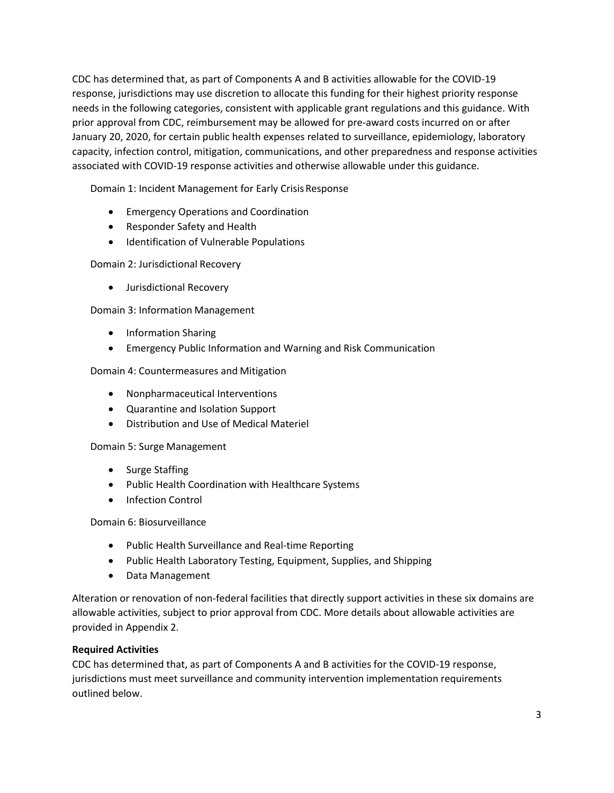CDC has determined that, as part of Components A and B activities allowable for the COVID-19 response, jurisdictions may use discretion to allocate this funding for their highest priority response needs in the following categories, consistent with applicable grant regulations and this guidance. With prior approval from CDC, reimbursement may be allowed for pre-award costs incurred on or after January 20, 2020, for certain public health expenses related to surveillance, epidemiology, laboratory capacity, infection control, mitigation, communications, and other preparedness and response activities associated with COVID-19 response activities and otherwise allowable under this guidance.

Domain 1: Incident Management for Early CrisisResponse

- Emergency Operations and Coordination
- Responder Safety and Health
- Identification of Vulnerable Populations

Domain 2: Jurisdictional Recovery

• Jurisdictional Recovery

Domain 3: Information Management

- Information Sharing
- Emergency Public Information and Warning and Risk Communication

Domain 4: Countermeasures and Mitigation

- Nonpharmaceutical Interventions
- Quarantine and Isolation Support
- Distribution and Use of Medical Materiel

Domain 5: Surge Management

- Surge Staffing
- Public Health Coordination with Healthcare Systems
- Infection Control

Domain 6: Biosurveillance

- Public Health Surveillance and Real-time Reporting
- Public Health Laboratory Testing, Equipment, Supplies, and Shipping
- Data Management

Alteration or renovation of non-federal facilities that directly support activities in these six domains are allowable activities, subject to prior approval from CDC. More details about allowable activities are provided in Appendix 2.

#### **Required Activities**

CDC has determined that, as part of Components A and B activities for the COVID-19 response, jurisdictions must meet surveillance and community intervention implementation requirements outlined below.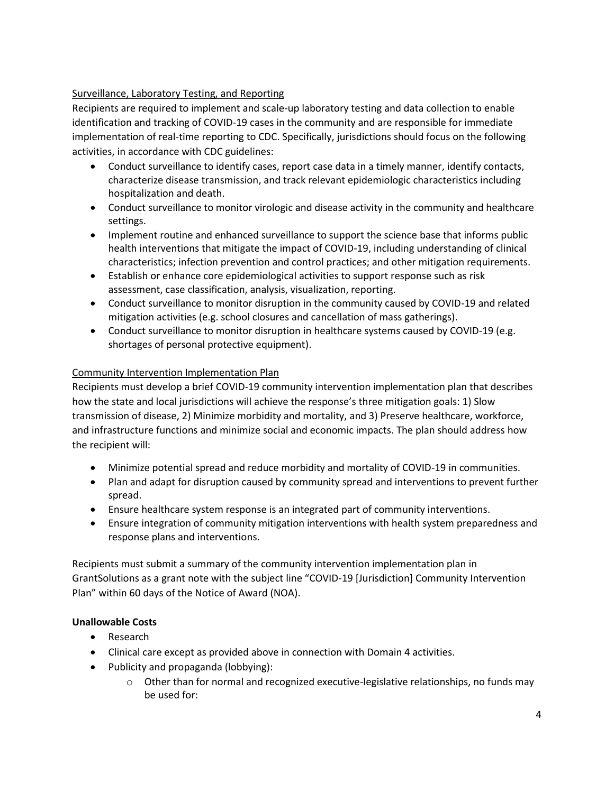### Surveillance, Laboratory Testing, and Reporting

Recipients are required to implement and scale-up laboratory testing and data collection to enable identification and tracking of COVID-19 cases in the community and are responsible for immediate implementation of real-time reporting to CDC. Specifically, jurisdictions should focus on the following activities, in accordance with CDC guidelines:

- Conduct surveillance to identify cases, report case data in a timely manner, identify contacts, characterize disease transmission, and track relevant epidemiologic characteristics including hospitalization and death.
- Conduct surveillance to monitor virologic and disease activity in the community and healthcare settings.
- Implement routine and enhanced surveillance to support the science base that informs public health interventions that mitigate the impact of COVID-19, including understanding of clinical characteristics; infection prevention and control practices; and other mitigation requirements.
- Establish or enhance core epidemiological activities to support response such as risk assessment, case classification, analysis, visualization, reporting.
- Conduct surveillance to monitor disruption in the community caused by COVID-19 and related mitigation activities (e.g. school closures and cancellation of mass gatherings).
- Conduct surveillance to monitor disruption in healthcare systems caused by COVID-19 (e.g. shortages of personal protective equipment).

### Community Intervention Implementation Plan

Recipients must develop a brief COVID-19 community intervention implementation plan that describes how the state and local jurisdictions will achieve the response's three mitigation goals: 1) Slow transmission of disease, 2) Minimize morbidity and mortality, and 3) Preserve healthcare, workforce, and infrastructure functions and minimize social and economic impacts. The plan should address how the recipient will:

- Minimize potential spread and reduce morbidity and mortality of COVID-19 in communities.
- Plan and adapt for disruption caused by community spread and interventions to prevent further spread.
- Ensure healthcare system response is an integrated part of community interventions.
- Ensure integration of community mitigation interventions with health system preparedness and response plans and interventions.

Recipients must submit a summary of the community intervention implementation plan in GrantSolutions as a grant note with the subject line "COVID-19 [Jurisdiction] Community Intervention Plan" within 60 days of the Notice of Award (NOA).

### **Unallowable Costs**

- Research
- Clinical care except as provided above in connection with Domain 4 activities.
- Publicity and propaganda (lobbying):
	- $\circ$  Other than for normal and recognized executive-legislative relationships, no funds may be used for: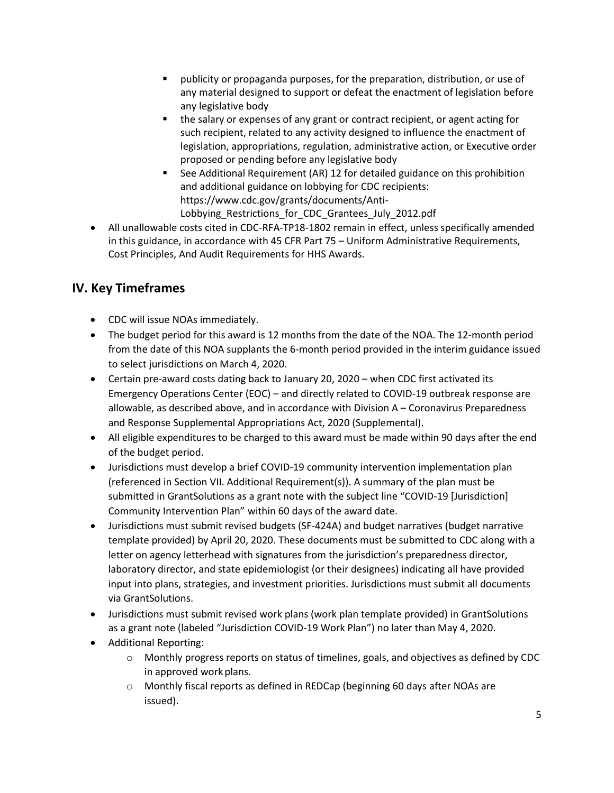- publicity or propaganda purposes, for the preparation, distribution, or use of any material designed to support or defeat the enactment of legislation before any legislative body
- the salary or expenses of any grant or contract recipient, or agent acting for such recipient, related to any activity designed to influence the enactment of legislation, appropriations, regulation, administrative action, or Executive order proposed or pending before any legislative body
- See Additional Requirement (AR) 12 for detailed guidance on this prohibition and additional guidance on lobbying for CDC recipients: https://www.cdc.gov/grants/documents/Anti-Lobbying\_Restrictions\_for\_CDC\_Grantees\_July\_2012.pdf
- All unallowable costs cited in CDC-RFA-TP18-1802 remain in effect, unless specifically amended in this guidance, in accordance with 45 CFR Part 75 – Uniform Administrative Requirements, Cost Principles, And Audit Requirements for HHS Awards.

# **IV. Key Timeframes**

- CDC will issue NOAs immediately.
- The budget period for this award is 12 months from the date of the NOA. The 12-month period from the date of this NOA supplants the 6-month period provided in the interim guidance issued to select jurisdictions on March 4, 2020.
- Certain pre-award costs dating back to January 20, 2020 when CDC first activated its Emergency Operations Center (EOC) – and directly related to COVID-19 outbreak response are allowable, as described above, and in accordance with Division A – Coronavirus Preparedness and Response Supplemental Appropriations Act, 2020 (Supplemental).
- All eligible expenditures to be charged to this award must be made within 90 days after the end of the budget period.
- Jurisdictions must develop a brief COVID-19 community intervention implementation plan (referenced in Section VII. Additional Requirement(s)). A summary of the plan must be submitted in GrantSolutions as a grant note with the subject line "COVID-19 [Jurisdiction] Community Intervention Plan" within 60 days of the award date.
- Jurisdictions must submit revised budgets (SF-424A) and budget narratives (budget narrative template provided) by April 20, 2020. These documents must be submitted to CDC along with a letter on agency letterhead with signatures from the jurisdiction's preparedness director, laboratory director, and state epidemiologist (or their designees) indicating all have provided input into plans, strategies, and investment priorities. Jurisdictions must submit all documents via GrantSolutions.
- Jurisdictions must submit revised work plans (work plan template provided) in GrantSolutions as a grant note (labeled "Jurisdiction COVID-19 Work Plan") no later than May 4, 2020.
- Additional Reporting:
	- $\circ$  Monthly progress reports on status of timelines, goals, and objectives as defined by CDC in approved work plans.
	- o Monthly fiscal reports as defined in REDCap (beginning 60 days after NOAs are issued).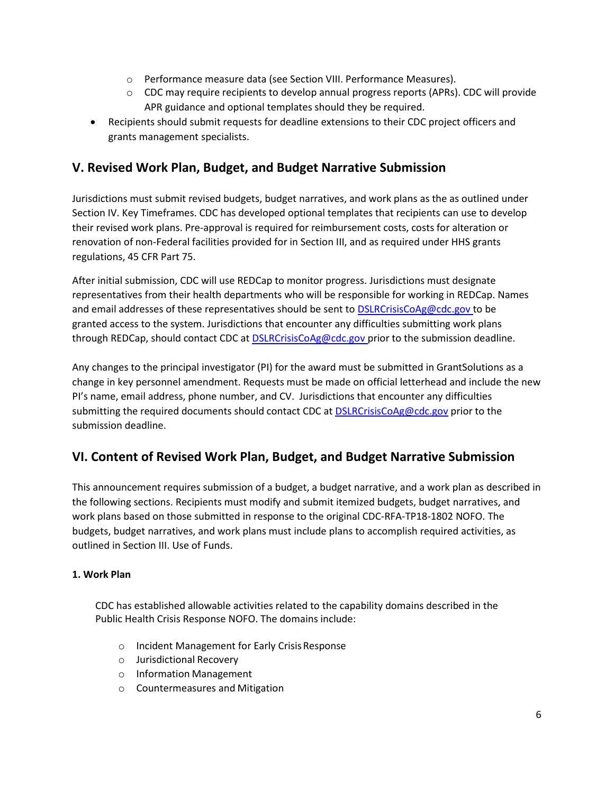- o Performance measure data (see Section VIII. Performance Measures).
- o CDC may require recipients to develop annual progress reports (APRs). CDC will provide APR guidance and optional templates should they be required.
- Recipients should submit requests for deadline extensions to their CDC project officers and grants management specialists.

# **V. Revised Work Plan, Budget, and Budget Narrative Submission**

Jurisdictions must submit revised budgets, budget narratives, and work plans as the as outlined under Section IV. Key Timeframes. CDC has developed optional templates that recipients can use to develop their revised work plans. Pre-approval is required for reimbursement costs, costs for alteration or renovation of non-Federal facilities provided for in Section III, and as required under HHS grants regulations, 45 CFR Part 75.

After initial submission, CDC will use REDCap to monitor progress. Jurisdictions must designate representatives from their health departments who will be responsible for working in REDCap. Names and email addresses of these representatives should be sent to [DSLRCrisisCoAg@cdc.gov to](mailto:DSLRCrisisCoAg@cdc.gov) be granted access to the system. Jurisdictions that encounter any difficulties submitting work plans through REDCap, should contact CDC at [DSLRCrisisCoAg@cdc.gov](mailto:DSLRCrisisCoAg@cdc.gov) prior to the submission deadline.

Any changes to the principal investigator (PI) for the award must be submitted in GrantSolutions as a change in key personnel amendment. Requests must be made on official letterhead and include the new PI's name, email address, phone number, and CV. Jurisdictions that encounter any difficulties submitting the required documents should contact CDC at **DSLRCrisisCoAg@cdc.gov** prior to the submission deadline.

# **VI. Content of Revised Work Plan, Budget, and Budget Narrative Submission**

This announcement requires submission of a budget, a budget narrative, and a work plan as described in the following sections. Recipients must modify and submit itemized budgets, budget narratives, and work plans based on those submitted in response to the original CDC-RFA-TP18-1802 NOFO. The budgets, budget narratives, and work plans must include plans to accomplish required activities, as outlined in Section III. Use of Funds.

### **1. Work Plan**

CDC has established allowable activities related to the capability domains described in the Public Health Crisis Response NOFO. The domains include:

- o Incident Management for Early CrisisResponse
- o Jurisdictional Recovery
- o Information Management
- o Countermeasures and Mitigation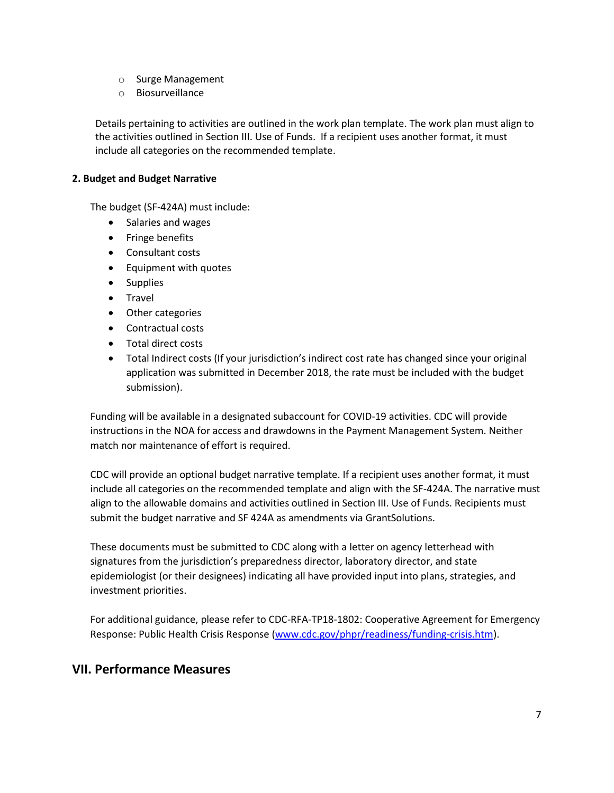- o Surge Management
- o Biosurveillance

Details pertaining to activities are outlined in the work plan template. The work plan must align to the activities outlined in Section III. Use of Funds. If a recipient uses another format, it must include all categories on the recommended template.

#### **2. Budget and Budget Narrative**

The budget (SF-424A) must include:

- Salaries and wages
- Fringe benefits
- Consultant costs
- Equipment with quotes
- Supplies
- Travel
- Other categories
- Contractual costs
- Total direct costs
- Total Indirect costs (If your jurisdiction's indirect cost rate has changed since your original application was submitted in December 2018, the rate must be included with the budget submission).

Funding will be available in a designated subaccount for COVID-19 activities. CDC will provide instructions in the NOA for access and drawdowns in the Payment Management System. Neither match nor maintenance of effort is required.

CDC will provide an optional budget narrative template. If a recipient uses another format, it must include all categories on the recommended template and align with the SF-424A. The narrative must align to the allowable domains and activities outlined in Section III. Use of Funds. Recipients must submit the budget narrative and SF 424A as amendments via GrantSolutions.

These documents must be submitted to CDC along with a letter on agency letterhead with signatures from the jurisdiction's preparedness director, laboratory director, and state epidemiologist (or their designees) indicating all have provided input into plans, strategies, and investment priorities.

For additional guidance, please refer to CDC-RFA-TP18-1802: Cooperative Agreement for Emergency Response: Public Health Crisis Response (www.cdc.gov/phpr/readiness/funding-crisis.htm).

# **VII. Performance Measures**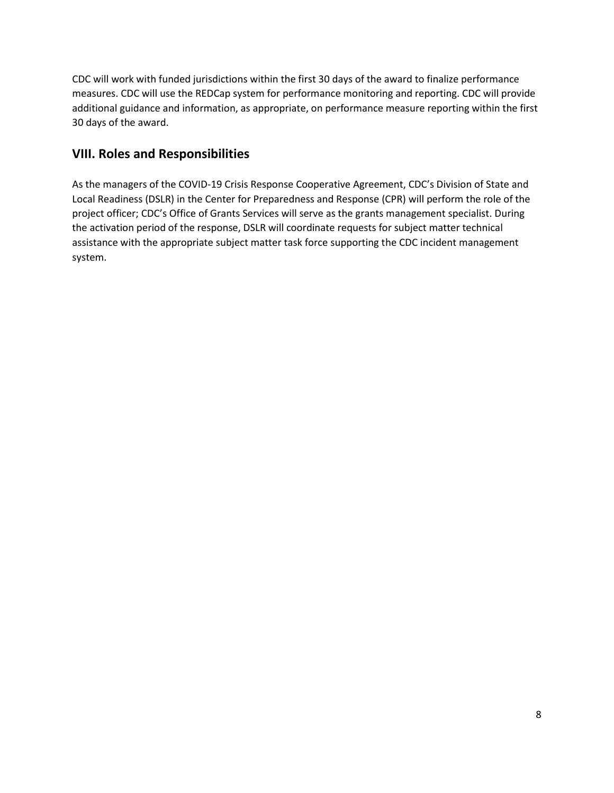CDC will work with funded jurisdictions within the first 30 days of the award to finalize performance measures. CDC will use the REDCap system for performance monitoring and reporting. CDC will provide additional guidance and information, as appropriate, on performance measure reporting within the first 30 days of the award.

# **VIII. Roles and Responsibilities**

As the managers of the COVID-19 Crisis Response Cooperative Agreement, CDC's Division of State and Local Readiness (DSLR) in the Center for Preparedness and Response (CPR) will perform the role of the project officer; CDC's Office of Grants Services will serve as the grants management specialist. During the activation period of the response, DSLR will coordinate requests for subject matter technical assistance with the appropriate subject matter task force supporting the CDC incident management system.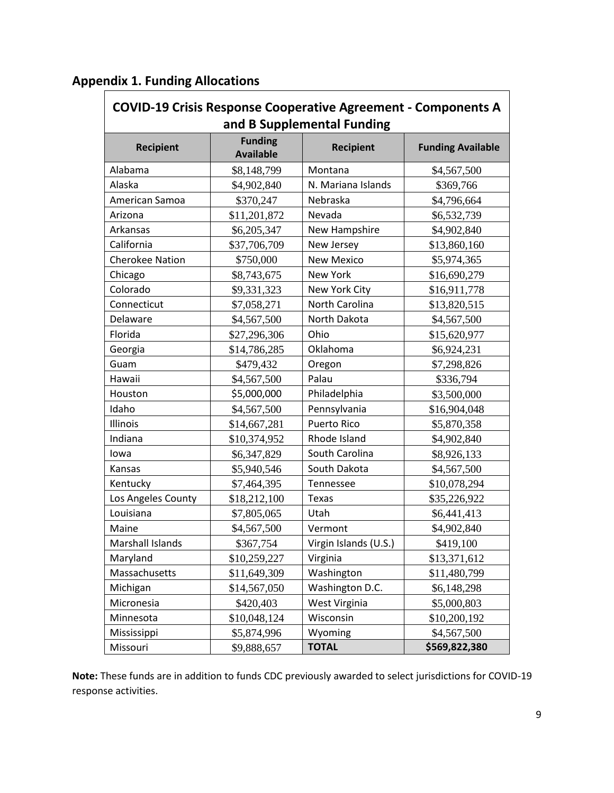|  |  |  | <b>Appendix 1. Funding Allocations</b> |
|--|--|--|----------------------------------------|
|--|--|--|----------------------------------------|

| <b>COVID-19 Crisis Response Cooperative Agreement - Components A</b> |                                    |                                                |                          |  |
|----------------------------------------------------------------------|------------------------------------|------------------------------------------------|--------------------------|--|
| <b>Recipient</b>                                                     | <b>Funding</b><br><b>Available</b> | and B Supplemental Funding<br><b>Recipient</b> | <b>Funding Available</b> |  |
| Alabama                                                              | \$8,148,799                        | Montana                                        | \$4,567,500              |  |
| Alaska                                                               | \$4,902,840                        | N. Mariana Islands                             | \$369,766                |  |
| American Samoa                                                       | \$370,247                          | Nebraska                                       | \$4,796,664              |  |
| Arizona                                                              | \$11,201,872                       | Nevada                                         | \$6,532,739              |  |
| Arkansas                                                             | \$6,205,347                        | New Hampshire                                  | \$4,902,840              |  |
| California                                                           | \$37,706,709                       | New Jersey                                     | \$13,860,160             |  |
| <b>Cherokee Nation</b>                                               | \$750,000                          | <b>New Mexico</b>                              | \$5,974,365              |  |
| Chicago                                                              | \$8,743,675                        | New York                                       | \$16,690,279             |  |
| Colorado                                                             | \$9,331,323                        | New York City                                  | \$16,911,778             |  |
| Connecticut                                                          | \$7,058,271                        | North Carolina                                 | \$13,820,515             |  |
| Delaware                                                             | \$4,567,500                        | North Dakota                                   | \$4,567,500              |  |
| Florida                                                              | \$27,296,306                       | Ohio                                           | \$15,620,977             |  |
| Georgia                                                              | \$14,786,285                       | Oklahoma                                       | \$6,924,231              |  |
| Guam                                                                 | \$479,432                          | Oregon                                         | \$7,298,826              |  |
| Hawaii                                                               | \$4,567,500                        | Palau                                          | \$336,794                |  |
| Houston                                                              | \$5,000,000                        | Philadelphia                                   | \$3,500,000              |  |
| Idaho                                                                | \$4,567,500                        | Pennsylvania                                   | \$16,904,048             |  |
| Illinois                                                             | \$14,667,281                       | <b>Puerto Rico</b>                             | \$5,870,358              |  |
| Indiana                                                              | \$10,374,952                       | Rhode Island                                   | \$4,902,840              |  |
| lowa                                                                 | \$6,347,829                        | South Carolina                                 | \$8,926,133              |  |
| Kansas                                                               | \$5,940,546                        | South Dakota                                   | \$4,567,500              |  |
| Kentucky                                                             | \$7,464,395                        | Tennessee                                      | \$10,078,294             |  |
| Los Angeles County                                                   | \$18,212,100                       | Texas                                          | \$35,226,922             |  |
| Louisiana                                                            | \$7,805,065                        | Utah                                           | \$6,441,413              |  |
| Maine                                                                | \$4,567,500                        | Vermont                                        | \$4,902,840              |  |
| <b>Marshall Islands</b>                                              | \$367,754                          | Virgin Islands (U.S.)                          | \$419,100                |  |
| Maryland                                                             | \$10,259,227                       | Virginia                                       | \$13,371,612             |  |
| Massachusetts                                                        | \$11,649,309                       | Washington                                     | \$11,480,799             |  |
| Michigan                                                             | \$14,567,050                       | Washington D.C.                                | \$6,148,298              |  |
| Micronesia                                                           | \$420,403                          | West Virginia                                  | \$5,000,803              |  |
| Minnesota                                                            | \$10,048,124                       | Wisconsin                                      | \$10,200,192             |  |
| Mississippi                                                          | \$5,874,996                        | Wyoming                                        | \$4,567,500              |  |
| Missouri                                                             | \$9,888,657                        | <b>TOTAL</b>                                   | \$569,822,380            |  |

**Note:** These funds are in addition to funds CDC previously awarded to select jurisdictions for COVID-19 response activities.

 $\overline{\phantom{a}}$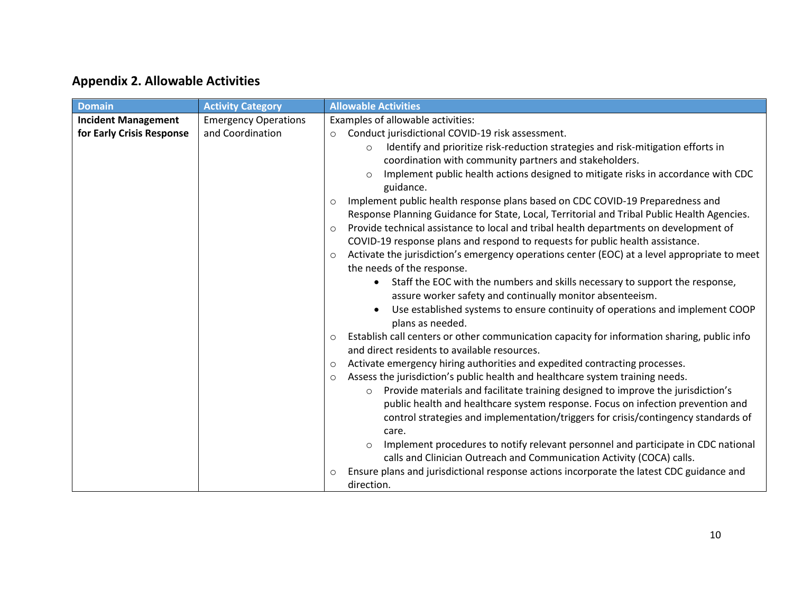# **Appendix 2. Allowable Activities**

| <b>Domain</b>              | <b>Activity Category</b>    | <b>Allowable Activities</b>                                                                             |
|----------------------------|-----------------------------|---------------------------------------------------------------------------------------------------------|
| <b>Incident Management</b> | <b>Emergency Operations</b> | Examples of allowable activities:                                                                       |
| for Early Crisis Response  | and Coordination            | Conduct jurisdictional COVID-19 risk assessment.<br>$\circ$                                             |
|                            |                             | Identify and prioritize risk-reduction strategies and risk-mitigation efforts in<br>$\circ$             |
|                            |                             | coordination with community partners and stakeholders.                                                  |
|                            |                             | Implement public health actions designed to mitigate risks in accordance with CDC                       |
|                            |                             | guidance.                                                                                               |
|                            |                             | Implement public health response plans based on CDC COVID-19 Preparedness and<br>$\circ$                |
|                            |                             | Response Planning Guidance for State, Local, Territorial and Tribal Public Health Agencies.             |
|                            |                             | Provide technical assistance to local and tribal health departments on development of<br>$\circ$        |
|                            |                             | COVID-19 response plans and respond to requests for public health assistance.                           |
|                            |                             | Activate the jurisdiction's emergency operations center (EOC) at a level appropriate to meet<br>$\circ$ |
|                            |                             | the needs of the response.                                                                              |
|                            |                             | Staff the EOC with the numbers and skills necessary to support the response,                            |
|                            |                             | assure worker safety and continually monitor absenteeism.                                               |
|                            |                             | Use established systems to ensure continuity of operations and implement COOP                           |
|                            |                             | plans as needed.                                                                                        |
|                            |                             | Establish call centers or other communication capacity for information sharing, public info<br>$\circ$  |
|                            |                             | and direct residents to available resources.                                                            |
|                            |                             | Activate emergency hiring authorities and expedited contracting processes.<br>$\circ$                   |
|                            |                             | Assess the jurisdiction's public health and healthcare system training needs.<br>$\circ$                |
|                            |                             | Provide materials and facilitate training designed to improve the jurisdiction's<br>$\circ$             |
|                            |                             | public health and healthcare system response. Focus on infection prevention and                         |
|                            |                             | control strategies and implementation/triggers for crisis/contingency standards of                      |
|                            |                             | care.                                                                                                   |
|                            |                             | Implement procedures to notify relevant personnel and participate in CDC national                       |
|                            |                             | calls and Clinician Outreach and Communication Activity (COCA) calls.                                   |
|                            |                             | Ensure plans and jurisdictional response actions incorporate the latest CDC guidance and<br>$\circ$     |
|                            |                             | direction.                                                                                              |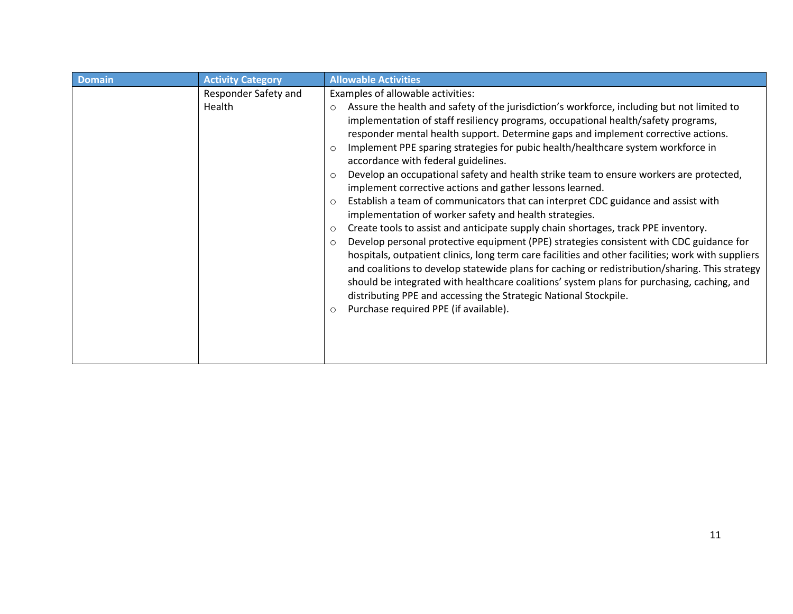| <b>Domain</b> | <b>Activity Category</b>       | <b>Allowable Activities</b>                                                                                                                                                                                                                                                                                                                                                                                                                                                                                                                                                                                                                                                                                                                                                                                                                                                                                                                                                                                                                                                                                                                                                                                                                                                                                                                                                                                                |
|---------------|--------------------------------|----------------------------------------------------------------------------------------------------------------------------------------------------------------------------------------------------------------------------------------------------------------------------------------------------------------------------------------------------------------------------------------------------------------------------------------------------------------------------------------------------------------------------------------------------------------------------------------------------------------------------------------------------------------------------------------------------------------------------------------------------------------------------------------------------------------------------------------------------------------------------------------------------------------------------------------------------------------------------------------------------------------------------------------------------------------------------------------------------------------------------------------------------------------------------------------------------------------------------------------------------------------------------------------------------------------------------------------------------------------------------------------------------------------------------|
|               | Responder Safety and<br>Health | Examples of allowable activities:<br>Assure the health and safety of the jurisdiction's workforce, including but not limited to<br>$\circ$<br>implementation of staff resiliency programs, occupational health/safety programs,<br>responder mental health support. Determine gaps and implement corrective actions.<br>Implement PPE sparing strategies for pubic health/healthcare system workforce in<br>$\circ$<br>accordance with federal guidelines.<br>Develop an occupational safety and health strike team to ensure workers are protected,<br>$\circ$<br>implement corrective actions and gather lessons learned.<br>Establish a team of communicators that can interpret CDC guidance and assist with<br>$\circ$<br>implementation of worker safety and health strategies.<br>Create tools to assist and anticipate supply chain shortages, track PPE inventory.<br>$\circ$<br>Develop personal protective equipment (PPE) strategies consistent with CDC guidance for<br>$\circ$<br>hospitals, outpatient clinics, long term care facilities and other facilities; work with suppliers<br>and coalitions to develop statewide plans for caching or redistribution/sharing. This strategy<br>should be integrated with healthcare coalitions' system plans for purchasing, caching, and<br>distributing PPE and accessing the Strategic National Stockpile.<br>Purchase required PPE (if available).<br>$\circ$ |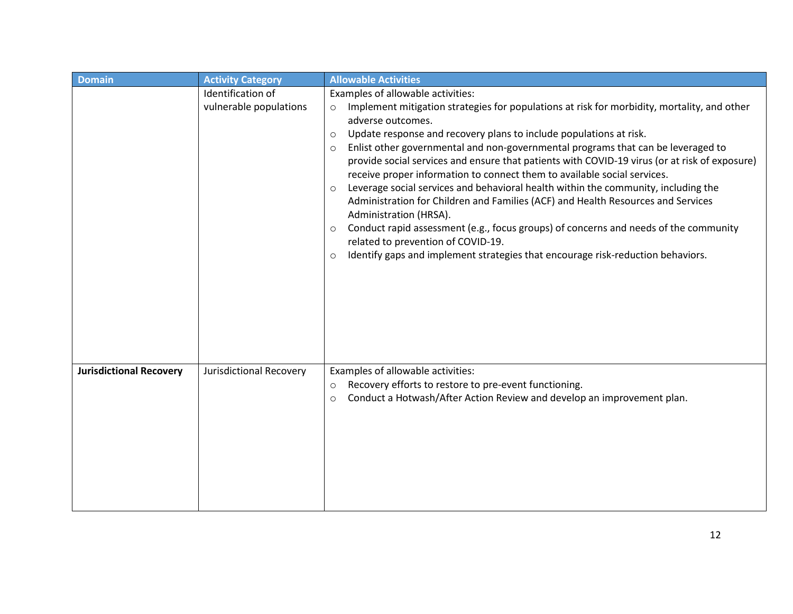| <b>Domain</b>                  | <b>Activity Category</b> | <b>Allowable Activities</b>                                                                                                                                                                                                                                                                                                                                                                                                                                                                                                                                                                                                                                                                                                                                                                                                                                                                                                                    |
|--------------------------------|--------------------------|------------------------------------------------------------------------------------------------------------------------------------------------------------------------------------------------------------------------------------------------------------------------------------------------------------------------------------------------------------------------------------------------------------------------------------------------------------------------------------------------------------------------------------------------------------------------------------------------------------------------------------------------------------------------------------------------------------------------------------------------------------------------------------------------------------------------------------------------------------------------------------------------------------------------------------------------|
|                                | Identification of        | Examples of allowable activities:                                                                                                                                                                                                                                                                                                                                                                                                                                                                                                                                                                                                                                                                                                                                                                                                                                                                                                              |
|                                | vulnerable populations   | Implement mitigation strategies for populations at risk for morbidity, mortality, and other<br>$\circ$<br>adverse outcomes.<br>Update response and recovery plans to include populations at risk.<br>$\circ$<br>Enlist other governmental and non-governmental programs that can be leveraged to<br>$\circ$<br>provide social services and ensure that patients with COVID-19 virus (or at risk of exposure)<br>receive proper information to connect them to available social services.<br>Leverage social services and behavioral health within the community, including the<br>$\circ$<br>Administration for Children and Families (ACF) and Health Resources and Services<br>Administration (HRSA).<br>Conduct rapid assessment (e.g., focus groups) of concerns and needs of the community<br>$\circ$<br>related to prevention of COVID-19.<br>Identify gaps and implement strategies that encourage risk-reduction behaviors.<br>$\circ$ |
| <b>Jurisdictional Recovery</b> | Jurisdictional Recovery  | Examples of allowable activities:                                                                                                                                                                                                                                                                                                                                                                                                                                                                                                                                                                                                                                                                                                                                                                                                                                                                                                              |
|                                |                          | Recovery efforts to restore to pre-event functioning.<br>$\circ$<br>Conduct a Hotwash/After Action Review and develop an improvement plan.<br>$\circ$                                                                                                                                                                                                                                                                                                                                                                                                                                                                                                                                                                                                                                                                                                                                                                                          |
|                                |                          |                                                                                                                                                                                                                                                                                                                                                                                                                                                                                                                                                                                                                                                                                                                                                                                                                                                                                                                                                |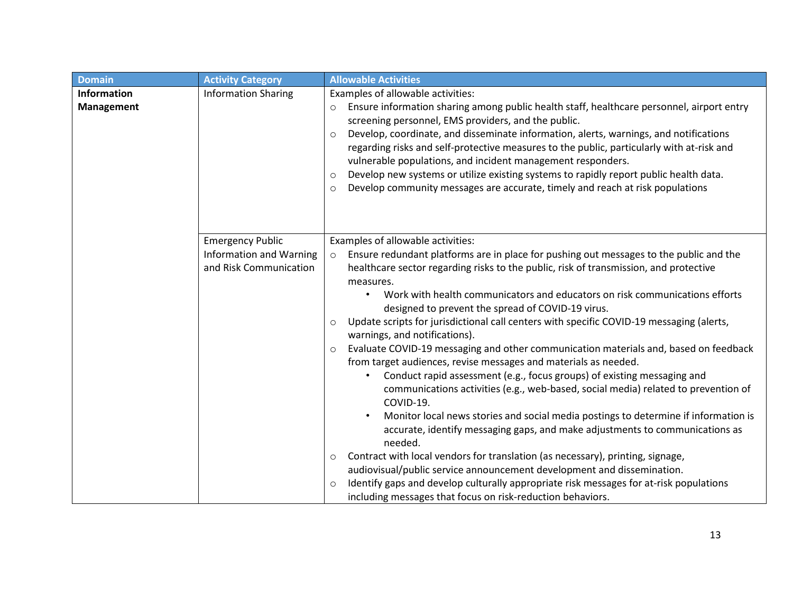| <b>Domain</b>                           | <b>Activity Category</b>                                                            | <b>Allowable Activities</b>                                                                                                                                                                                                                                                                                                                                                                                                                                                                                                                                                                                                                                                                                                                                                                                                                                                                                                                                                                                                                                                                                                                                                                                                                                                                                                                                                                              |
|-----------------------------------------|-------------------------------------------------------------------------------------|----------------------------------------------------------------------------------------------------------------------------------------------------------------------------------------------------------------------------------------------------------------------------------------------------------------------------------------------------------------------------------------------------------------------------------------------------------------------------------------------------------------------------------------------------------------------------------------------------------------------------------------------------------------------------------------------------------------------------------------------------------------------------------------------------------------------------------------------------------------------------------------------------------------------------------------------------------------------------------------------------------------------------------------------------------------------------------------------------------------------------------------------------------------------------------------------------------------------------------------------------------------------------------------------------------------------------------------------------------------------------------------------------------|
| <b>Information</b><br><b>Management</b> | <b>Information Sharing</b>                                                          | Examples of allowable activities:<br>Ensure information sharing among public health staff, healthcare personnel, airport entry<br>$\circ$<br>screening personnel, EMS providers, and the public.<br>Develop, coordinate, and disseminate information, alerts, warnings, and notifications<br>$\circ$<br>regarding risks and self-protective measures to the public, particularly with at-risk and<br>vulnerable populations, and incident management responders.<br>Develop new systems or utilize existing systems to rapidly report public health data.<br>$\circ$<br>Develop community messages are accurate, timely and reach at risk populations<br>$\circ$                                                                                                                                                                                                                                                                                                                                                                                                                                                                                                                                                                                                                                                                                                                                         |
|                                         | <b>Emergency Public</b><br><b>Information and Warning</b><br>and Risk Communication | Examples of allowable activities:<br>Ensure redundant platforms are in place for pushing out messages to the public and the<br>$\circ$<br>healthcare sector regarding risks to the public, risk of transmission, and protective<br>measures.<br>Work with health communicators and educators on risk communications efforts<br>designed to prevent the spread of COVID-19 virus.<br>Update scripts for jurisdictional call centers with specific COVID-19 messaging (alerts,<br>$\circ$<br>warnings, and notifications).<br>Evaluate COVID-19 messaging and other communication materials and, based on feedback<br>$\circ$<br>from target audiences, revise messages and materials as needed.<br>Conduct rapid assessment (e.g., focus groups) of existing messaging and<br>communications activities (e.g., web-based, social media) related to prevention of<br>COVID-19.<br>Monitor local news stories and social media postings to determine if information is<br>accurate, identify messaging gaps, and make adjustments to communications as<br>needed.<br>Contract with local vendors for translation (as necessary), printing, signage,<br>$\circ$<br>audiovisual/public service announcement development and dissemination.<br>Identify gaps and develop culturally appropriate risk messages for at-risk populations<br>$\circ$<br>including messages that focus on risk-reduction behaviors. |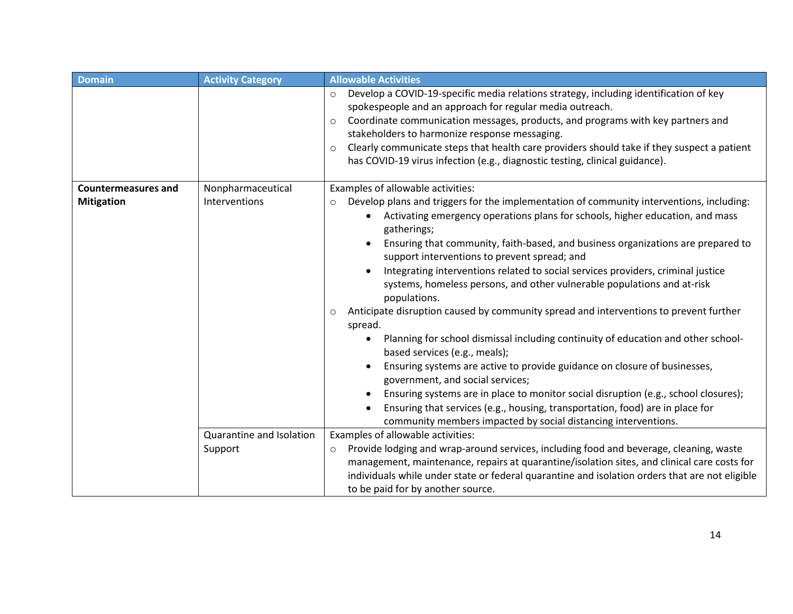| <b>Domain</b>              | <b>Activity Category</b> | <b>Allowable Activities</b>                                                                                                                                                                                                                                                                                                                                                                                                                                                                                                                                                                                                                                                                                                                                                                                                                                                                                                                                                                                                                                                                                            |
|----------------------------|--------------------------|------------------------------------------------------------------------------------------------------------------------------------------------------------------------------------------------------------------------------------------------------------------------------------------------------------------------------------------------------------------------------------------------------------------------------------------------------------------------------------------------------------------------------------------------------------------------------------------------------------------------------------------------------------------------------------------------------------------------------------------------------------------------------------------------------------------------------------------------------------------------------------------------------------------------------------------------------------------------------------------------------------------------------------------------------------------------------------------------------------------------|
|                            |                          | Develop a COVID-19-specific media relations strategy, including identification of key<br>$\circ$<br>spokespeople and an approach for regular media outreach.<br>Coordinate communication messages, products, and programs with key partners and<br>$\circ$<br>stakeholders to harmonize response messaging.<br>Clearly communicate steps that health care providers should take if they suspect a patient<br>$\circ$<br>has COVID-19 virus infection (e.g., diagnostic testing, clinical guidance).                                                                                                                                                                                                                                                                                                                                                                                                                                                                                                                                                                                                                    |
| <b>Countermeasures and</b> | Nonpharmaceutical        | Examples of allowable activities:                                                                                                                                                                                                                                                                                                                                                                                                                                                                                                                                                                                                                                                                                                                                                                                                                                                                                                                                                                                                                                                                                      |
| <b>Mitigation</b>          | Interventions            | Develop plans and triggers for the implementation of community interventions, including:<br>$\circ$<br>Activating emergency operations plans for schools, higher education, and mass<br>gatherings;<br>Ensuring that community, faith-based, and business organizations are prepared to<br>support interventions to prevent spread; and<br>Integrating interventions related to social services providers, criminal justice<br>systems, homeless persons, and other vulnerable populations and at-risk<br>populations.<br>Anticipate disruption caused by community spread and interventions to prevent further<br>$\circ$<br>spread.<br>Planning for school dismissal including continuity of education and other school-<br>based services (e.g., meals);<br>Ensuring systems are active to provide guidance on closure of businesses,<br>government, and social services;<br>Ensuring systems are in place to monitor social disruption (e.g., school closures);<br>Ensuring that services (e.g., housing, transportation, food) are in place for<br>community members impacted by social distancing interventions. |
|                            | Quarantine and Isolation | Examples of allowable activities:                                                                                                                                                                                                                                                                                                                                                                                                                                                                                                                                                                                                                                                                                                                                                                                                                                                                                                                                                                                                                                                                                      |
|                            | Support                  | Provide lodging and wrap-around services, including food and beverage, cleaning, waste<br>$\circ$<br>management, maintenance, repairs at quarantine/isolation sites, and clinical care costs for<br>individuals while under state or federal quarantine and isolation orders that are not eligible<br>to be paid for by another source.                                                                                                                                                                                                                                                                                                                                                                                                                                                                                                                                                                                                                                                                                                                                                                                |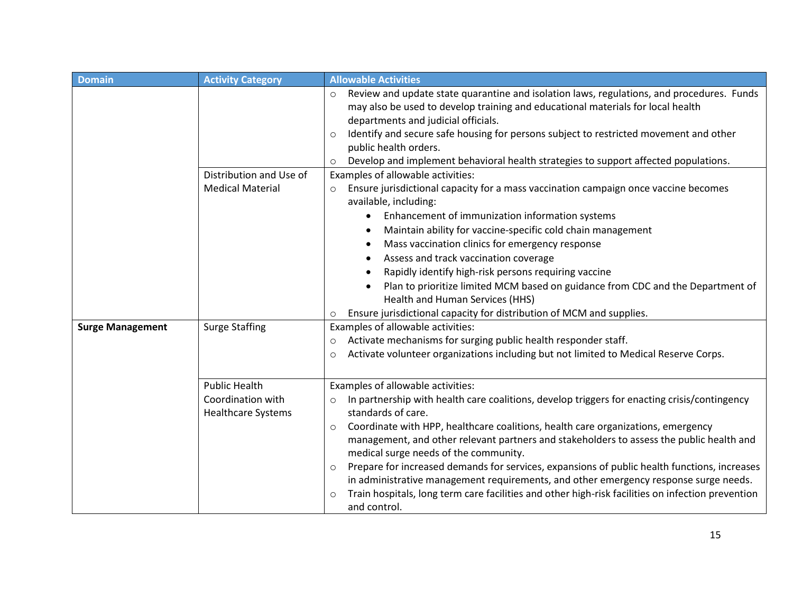| <b>Domain</b>           | <b>Activity Category</b>                                               | <b>Allowable Activities</b>                                                                                                                                                                                                                                                                                                                                                                                                                                                                                                                                                                                                                                                                                                               |
|-------------------------|------------------------------------------------------------------------|-------------------------------------------------------------------------------------------------------------------------------------------------------------------------------------------------------------------------------------------------------------------------------------------------------------------------------------------------------------------------------------------------------------------------------------------------------------------------------------------------------------------------------------------------------------------------------------------------------------------------------------------------------------------------------------------------------------------------------------------|
|                         | Distribution and Use of                                                | Review and update state quarantine and isolation laws, regulations, and procedures. Funds<br>$\circ$<br>may also be used to develop training and educational materials for local health<br>departments and judicial officials.<br>Identify and secure safe housing for persons subject to restricted movement and other<br>$\circ$<br>public health orders.<br>Develop and implement behavioral health strategies to support affected populations.<br>$\circ$<br>Examples of allowable activities:                                                                                                                                                                                                                                        |
|                         | <b>Medical Material</b>                                                | Ensure jurisdictional capacity for a mass vaccination campaign once vaccine becomes<br>$\circ$<br>available, including:<br>Enhancement of immunization information systems<br>Maintain ability for vaccine-specific cold chain management<br>Mass vaccination clinics for emergency response<br>Assess and track vaccination coverage<br>Rapidly identify high-risk persons requiring vaccine<br>Plan to prioritize limited MCM based on guidance from CDC and the Department of<br>Health and Human Services (HHS)<br>Ensure jurisdictional capacity for distribution of MCM and supplies.<br>$\circ$                                                                                                                                    |
| <b>Surge Management</b> | <b>Surge Staffing</b>                                                  | Examples of allowable activities:<br>Activate mechanisms for surging public health responder staff.<br>$\circ$<br>Activate volunteer organizations including but not limited to Medical Reserve Corps.<br>$\circ$                                                                                                                                                                                                                                                                                                                                                                                                                                                                                                                         |
|                         | <b>Public Health</b><br>Coordination with<br><b>Healthcare Systems</b> | Examples of allowable activities:<br>In partnership with health care coalitions, develop triggers for enacting crisis/contingency<br>$\circ$<br>standards of care.<br>Coordinate with HPP, healthcare coalitions, health care organizations, emergency<br>$\circ$<br>management, and other relevant partners and stakeholders to assess the public health and<br>medical surge needs of the community.<br>Prepare for increased demands for services, expansions of public health functions, increases<br>$\circ$<br>in administrative management requirements, and other emergency response surge needs.<br>Train hospitals, long term care facilities and other high-risk facilities on infection prevention<br>$\circ$<br>and control. |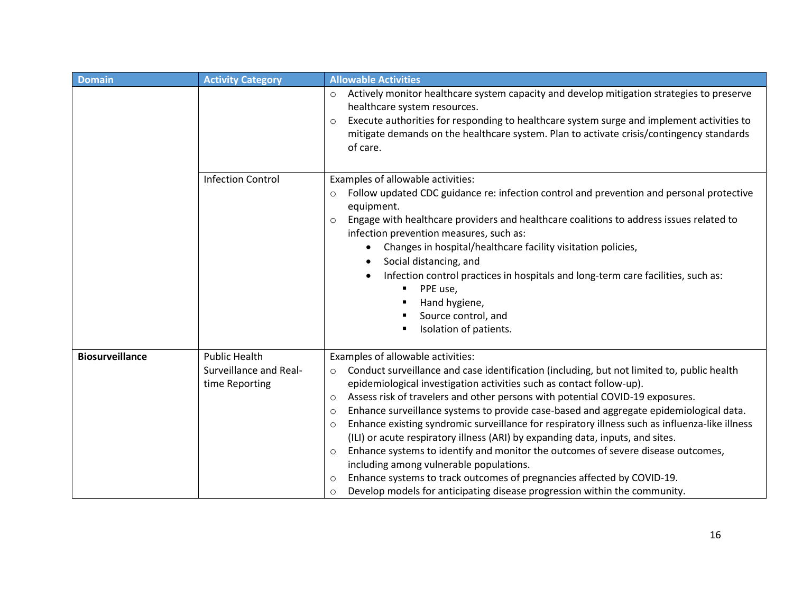| <b>Domain</b>          | <b>Activity Category</b>                                         | <b>Allowable Activities</b>                                                                                                                                                                                                                                                                                                                                                                                                                                                                                                                                                                                                                                                                                                                                                                                                                                                                                                               |
|------------------------|------------------------------------------------------------------|-------------------------------------------------------------------------------------------------------------------------------------------------------------------------------------------------------------------------------------------------------------------------------------------------------------------------------------------------------------------------------------------------------------------------------------------------------------------------------------------------------------------------------------------------------------------------------------------------------------------------------------------------------------------------------------------------------------------------------------------------------------------------------------------------------------------------------------------------------------------------------------------------------------------------------------------|
|                        |                                                                  | Actively monitor healthcare system capacity and develop mitigation strategies to preserve<br>$\circ$<br>healthcare system resources.<br>Execute authorities for responding to healthcare system surge and implement activities to<br>$\circ$<br>mitigate demands on the healthcare system. Plan to activate crisis/contingency standards<br>of care.                                                                                                                                                                                                                                                                                                                                                                                                                                                                                                                                                                                      |
|                        | <b>Infection Control</b>                                         | Examples of allowable activities:<br>Follow updated CDC guidance re: infection control and prevention and personal protective<br>$\circ$<br>equipment.<br>Engage with healthcare providers and healthcare coalitions to address issues related to<br>$\circ$<br>infection prevention measures, such as:<br>Changes in hospital/healthcare facility visitation policies,<br>Social distancing, and<br>Infection control practices in hospitals and long-term care facilities, such as:<br>PPE use,<br>٠<br>Hand hygiene,<br>Source control, and<br>Isolation of patients.                                                                                                                                                                                                                                                                                                                                                                  |
| <b>Biosurveillance</b> | <b>Public Health</b><br>Surveillance and Real-<br>time Reporting | Examples of allowable activities:<br>Conduct surveillance and case identification (including, but not limited to, public health<br>$\circ$<br>epidemiological investigation activities such as contact follow-up).<br>Assess risk of travelers and other persons with potential COVID-19 exposures.<br>$\circ$<br>Enhance surveillance systems to provide case-based and aggregate epidemiological data.<br>$\circ$<br>Enhance existing syndromic surveillance for respiratory illness such as influenza-like illness<br>$\circ$<br>(ILI) or acute respiratory illness (ARI) by expanding data, inputs, and sites.<br>Enhance systems to identify and monitor the outcomes of severe disease outcomes,<br>$\circ$<br>including among vulnerable populations.<br>Enhance systems to track outcomes of pregnancies affected by COVID-19.<br>$\circ$<br>Develop models for anticipating disease progression within the community.<br>$\circ$ |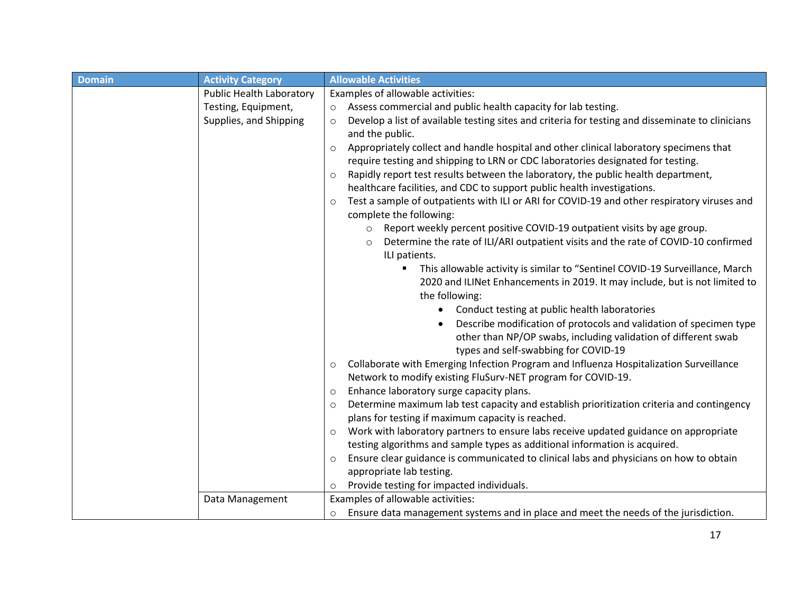| <b>Domain</b> | <b>Activity Category</b> | <b>Allowable Activities</b>                                                                                 |
|---------------|--------------------------|-------------------------------------------------------------------------------------------------------------|
|               | Public Health Laboratory | Examples of allowable activities:                                                                           |
|               | Testing, Equipment,      | Assess commercial and public health capacity for lab testing.<br>$\circ$                                    |
|               | Supplies, and Shipping   | Develop a list of available testing sites and criteria for testing and disseminate to clinicians<br>$\circ$ |
|               |                          | and the public.                                                                                             |
|               |                          | Appropriately collect and handle hospital and other clinical laboratory specimens that<br>$\circ$           |
|               |                          | require testing and shipping to LRN or CDC laboratories designated for testing.                             |
|               |                          | Rapidly report test results between the laboratory, the public health department,<br>$\circ$                |
|               |                          | healthcare facilities, and CDC to support public health investigations.                                     |
|               |                          | Test a sample of outpatients with ILI or ARI for COVID-19 and other respiratory viruses and<br>$\circ$      |
|               |                          | complete the following:                                                                                     |
|               |                          | Report weekly percent positive COVID-19 outpatient visits by age group.<br>$\circ$                          |
|               |                          | Determine the rate of ILI/ARI outpatient visits and the rate of COVID-10 confirmed<br>$\circ$               |
|               |                          | ILI patients.                                                                                               |
|               |                          | This allowable activity is similar to "Sentinel COVID-19 Surveillance, March                                |
|               |                          | 2020 and ILINet Enhancements in 2019. It may include, but is not limited to                                 |
|               |                          | the following:                                                                                              |
|               |                          | Conduct testing at public health laboratories<br>$\bullet$                                                  |
|               |                          | Describe modification of protocols and validation of specimen type                                          |
|               |                          | other than NP/OP swabs, including validation of different swab                                              |
|               |                          | types and self-swabbing for COVID-19                                                                        |
|               |                          | Collaborate with Emerging Infection Program and Influenza Hospitalization Surveillance<br>$\circ$           |
|               |                          | Network to modify existing FluSurv-NET program for COVID-19.                                                |
|               |                          | Enhance laboratory surge capacity plans.<br>$\circ$                                                         |
|               |                          | Determine maximum lab test capacity and establish prioritization criteria and contingency<br>$\circ$        |
|               |                          | plans for testing if maximum capacity is reached.                                                           |
|               |                          | Work with laboratory partners to ensure labs receive updated guidance on appropriate<br>$\circ$             |
|               |                          | testing algorithms and sample types as additional information is acquired.                                  |
|               |                          | Ensure clear guidance is communicated to clinical labs and physicians on how to obtain<br>$\circ$           |
|               |                          | appropriate lab testing.                                                                                    |
|               |                          | Provide testing for impacted individuals.<br>$\circ$                                                        |
|               | Data Management          | Examples of allowable activities:                                                                           |
|               |                          | Ensure data management systems and in place and meet the needs of the jurisdiction.<br>$\circ$              |